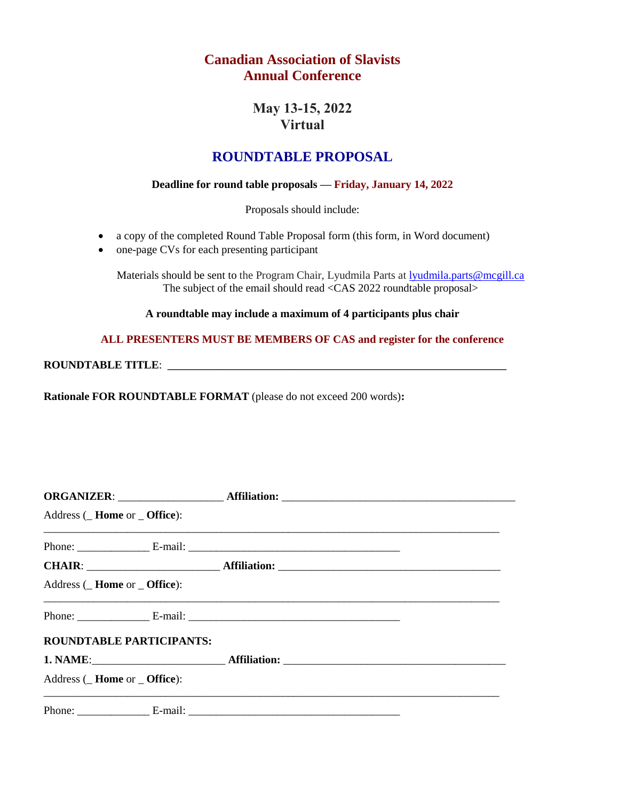## **Canadian Association of Slavists Annual Conference**

## **May 13-15, 2022 Virtual**

## **ROUNDTABLE PROPOSAL**

## **Deadline for round table proposals — Friday, January 14, 2022**

Proposals should include:

- a copy of the completed Round Table Proposal form (this form, in Word document)
- one-page CVs for each presenting participant

Materials should be sent to the Program Chair, Lyudmila Parts at *lyudmila.parts@mcgill.ca* The subject of the email should read <CAS 2022 roundtable proposal>

**A roundtable may include a maximum of 4 participants plus chair**

**ALL PRESENTERS MUST BE MEMBERS OF CAS and register for the conference**

**ROUNDTABLE TITLE:** 

**Rationale FOR ROUNDTABLE FORMAT** (please do not exceed 200 words)**:**

| Address (Home or Office):                 |  |  |
|-------------------------------------------|--|--|
|                                           |  |  |
|                                           |  |  |
| Address ( <b>Home</b> or <b>Office</b> ): |  |  |
|                                           |  |  |
| ROUNDTABLE PARTICIPANTS:                  |  |  |
|                                           |  |  |
| Address (Home or Office):                 |  |  |
|                                           |  |  |